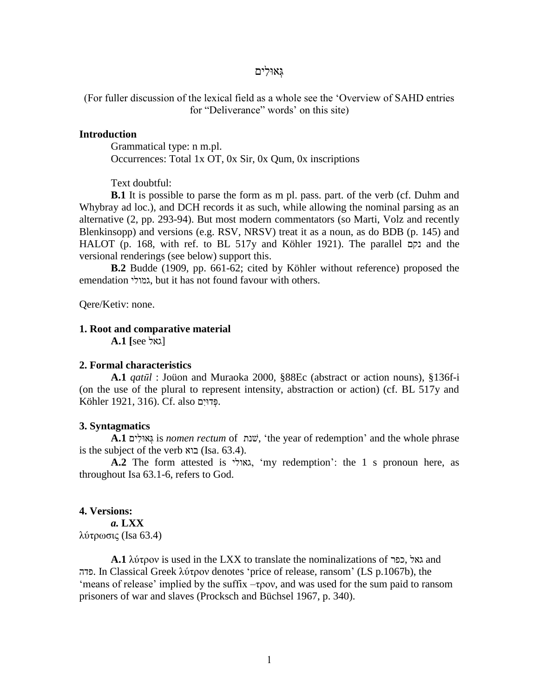# גְּ אּולִים

(For fuller discussion of the lexical field as a whole see the 'Overview of SAHD entries for "Deliverance" words' on this site)

## **Introduction**

Grammatical type: n m.pl. Occurrences: Total 1x OT, 0x Sir, 0x Qum, 0x inscriptions

Text doubtful:

**B.1** It is possible to parse the form as m pl. pass. part. of the verb (cf. Duhm and Whybray ad loc.), and DCH records it as such, while allowing the nominal parsing as an alternative (2, pp. 293-94). But most modern commentators (so Marti, Volz and recently Blenkinsopp) and versions (e.g. RSV, NRSV) treat it as a noun, as do BDB (p. 145) and HALOT (p. 168, with ref. to BL 517y and Köhler 1921). The parallel נקם and the versional renderings (see below) support this.

**B.2** Budde (1909, pp. 661-62; cited by Köhler without reference) proposed the emendation גמולי, but it has not found favour with others.

Qere/Ketiv: none.

## **1. Root and comparative material**

 $A.1$  [see גאל]

#### **2. Formal characteristics**

**A.1** *qatūl* : Joüon and Muraoka 2000, §88Ec (abstract or action nouns), §136f-i (on the use of the plural to represent intensity, abstraction or action) (cf. BL 517y and .פְּ דּויִם also .Cf .)316 1921, Köhler

### **3. Syntagmatics**

**A.1** ים ִולּא ְּג is *nomen rectum* of שׁנת,' the year of redemption' and the whole phrase is the subject of the verb  $x$ בוא (Isa. 63.4).

**A.2** The form attested is גאולי,' my redemption': the 1 s pronoun here, as throughout Isa 63.1-6, refers to God.

### **4. Versions:**

*a.* **LXX** λύτρωσις (Isa 63.4)

**A.1**  $\lambda$ ύτρον is used in the LXX to translate the nominalizations of כפר, גאל, כפר, גאל פדה. In Classical Greek λύτρον denotes 'price of release, ransom' (LS p.1067b), the 'means of release' implied by the suffix –τρον, and was used for the sum paid to ransom prisoners of war and slaves (Procksch and Büchsel 1967, p. 340).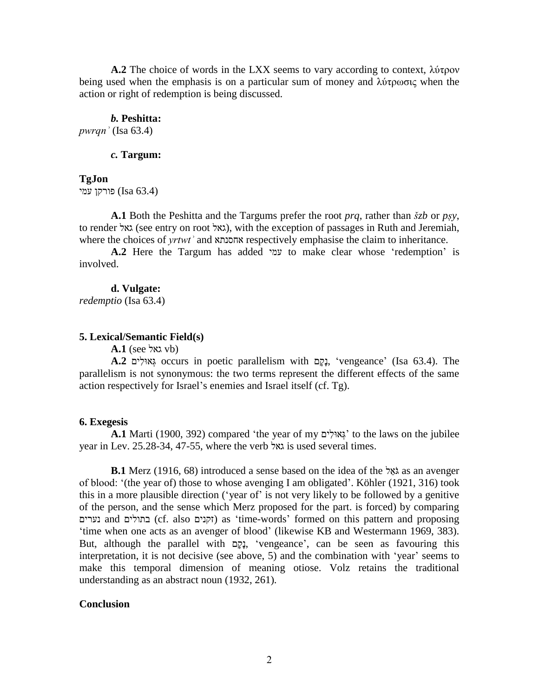**A.2** The choice of words in the LXX seems to vary according to context, λύτρον being used when the emphasis is on a particular sum of money and λύτρωσις when the action or right of redemption is being discussed.

#### *b.* **Peshitta:**

*pwrqnʾ* (Isa 63.4)

## *c.* **Targum:**

## **TgJon**

(63.4 Isa (פורקן עמי

**A.1** Both the Peshitta and the Targums prefer the root *prq*, rather than *šzb* or *pṣy*, to render גאל), with the exception of passages in Ruth and Jeremiah, where the choices of *yrtwtʾ* and אחסנתא respectively emphasise the claim to inheritance.

**A.2** Here the Targum has added עמי to make clear whose 'redemption' is involved.

#### **d. Vulgate:**

*redemptio* (Isa 63.4)

# **5. Lexical/Semantic Field(s)**

**A.1** (see גאל vb)

**A.2** יְבָקָם occurs in poetic parallelism with נְקָם, 'vengeance' (Isa 63.4). The parallelism is not synonymous: the two terms represent the different effects of the same action respectively for Israel's enemies and Israel itself (cf. Tg).

# **6. Exegesis**

**A.1** Marti (1900, 392) compared 'the year of my ים ִולּא ְּג 'to the laws on the jubilee year in Lev. 25.28-34, 47-55, where the verb גאל is used several times.

**B.1** Merz (1916, 68) introduced a sense based on the idea of the לאָל as an avenger of blood: '(the year of) those to whose avenging I am obligated'. Köhler (1921, 316) took this in a more plausible direction ('year of' is not very likely to be followed by a genitive of the person, and the sense which Merz proposed for the part. is forced) by comparing נערים and בתולים) cf. also זקנים (as 'time-words' formed on this pattern and proposing 'time when one acts as an avenger of blood' (likewise KB and Westermann 1969, 383). But, although the parallel with נָקָם, 'vengeance', can be seen as favouring this interpretation, it is not decisive (see above, 5) and the combination with 'year' seems to make this temporal dimension of meaning otiose. Volz retains the traditional understanding as an abstract noun (1932, 261).

## **Conclusion**